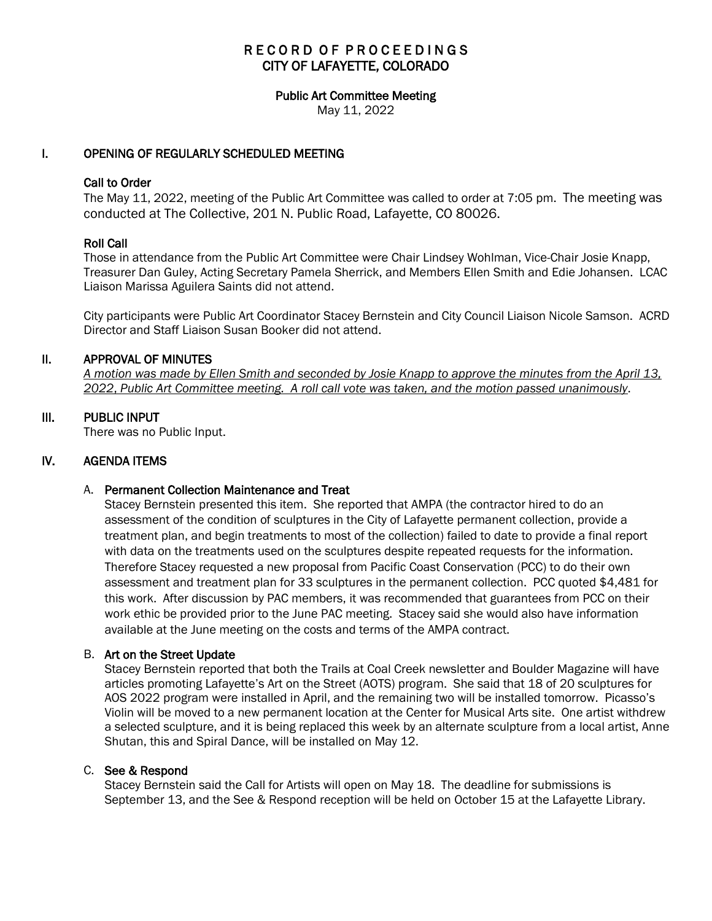# RECORD OF PROCEEDINGS CITY OF LAFAYETTE, COLORADO

# Public Art Committee Meeting

May 11, 2022

# I. OPENING OF REGULARLY SCHEDULED MEETING

### Call to Order

The May 11, 2022, meeting of the Public Art Committee was called to order at 7:05 pm. The meeting was conducted at The Collective, 201 N. Public Road, Lafayette, CO 80026.

### Roll Call

Those in attendance from the Public Art Committee were Chair Lindsey Wohlman, Vice-Chair Josie Knapp, Treasurer Dan Guley, Acting Secretary Pamela Sherrick, and Members Ellen Smith and Edie Johansen. LCAC Liaison Marissa Aguilera Saints did not attend.

City participants were Public Art Coordinator Stacey Bernstein and City Council Liaison Nicole Samson. ACRD Director and Staff Liaison Susan Booker did not attend.

# II. APPROVAL OF MINUTES

 *A motion was made by Ellen Smith and seconded by Josie Knapp to approve the minutes from the April 13, 2022*, *Public Art Committee meeting. A roll call vote was taken, and the motion passed unanimously*.

### III. PUBLIC INPUT

There was no Public Input.

### IV. AGENDA ITEMS

### A. Permanent Collection Maintenance and Treat

Stacey Bernstein presented this item. She reported that AMPA (the contractor hired to do an assessment of the condition of sculptures in the City of Lafayette permanent collection, provide a treatment plan, and begin treatments to most of the collection) failed to date to provide a final report with data on the treatments used on the sculptures despite repeated requests for the information. Therefore Stacey requested a new proposal from Pacific Coast Conservation (PCC) to do their own assessment and treatment plan for 33 sculptures in the permanent collection. PCC quoted \$4,481 for this work. After discussion by PAC members, it was recommended that guarantees from PCC on their work ethic be provided prior to the June PAC meeting. Stacey said she would also have information available at the June meeting on the costs and terms of the AMPA contract.

### B. Art on the Street Update

Stacey Bernstein reported that both the Trails at Coal Creek newsletter and Boulder Magazine will have articles promoting Lafayette's Art on the Street (AOTS) program. She said that 18 of 20 sculptures for AOS 2022 program were installed in April, and the remaining two will be installed tomorrow. Picasso's Violin will be moved to a new permanent location at the Center for Musical Arts site. One artist withdrew a selected sculpture, and it is being replaced this week by an alternate sculpture from a local artist, Anne Shutan, this and Spiral Dance, will be installed on May 12.

#### C. See & Respond

Stacey Bernstein said the Call for Artists will open on May 18. The deadline for submissions is September 13, and the See & Respond reception will be held on October 15 at the Lafayette Library.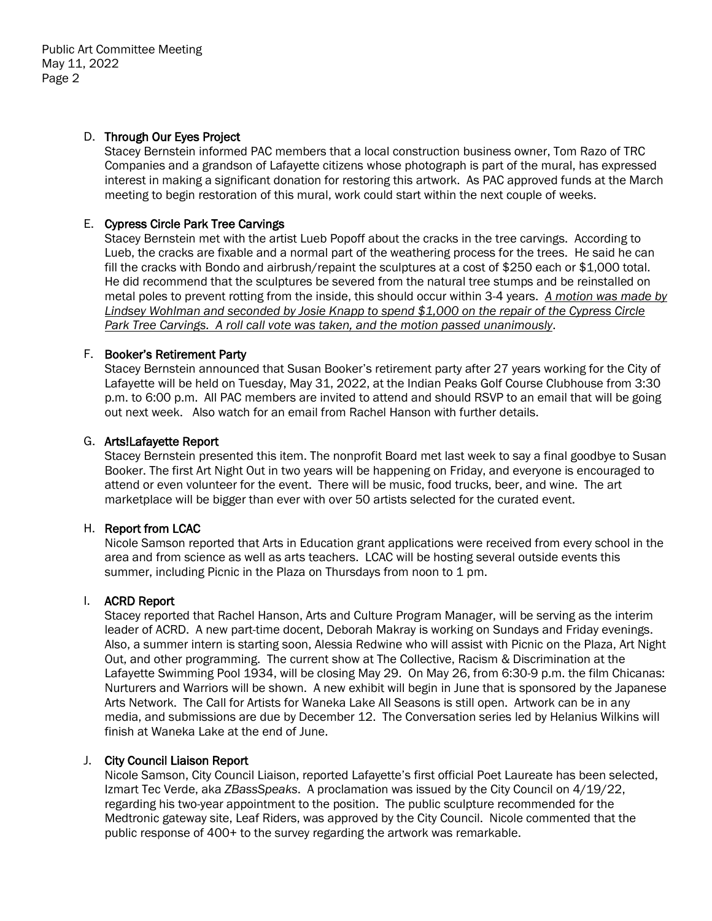# D. Through Our Eyes Project

Stacey Bernstein informed PAC members that a local construction business owner, Tom Razo of TRC Companies and a grandson of Lafayette citizens whose photograph is part of the mural, has expressed interest in making a significant donation for restoring this artwork. As PAC approved funds at the March meeting to begin restoration of this mural, work could start within the next couple of weeks.

# E. Cypress Circle Park Tree Carvings

Stacey Bernstein met with the artist Lueb Popoff about the cracks in the tree carvings. According to Lueb, the cracks are fixable and a normal part of the weathering process for the trees. He said he can fill the cracks with Bondo and airbrush/repaint the sculptures at a cost of \$250 each or \$1,000 total. He did recommend that the sculptures be severed from the natural tree stumps and be reinstalled on metal poles to prevent rotting from the inside, this should occur within 3-4 years. *A motion was made by Lindsey Wohlman and seconded by Josie Knapp to spend \$1,000 on the repair of the Cypress Circle Park Tree Carvings. A roll call vote was taken, and the motion passed unanimously*.

# F. Booker's Retirement Party

Stacey Bernstein announced that Susan Booker's retirement party after 27 years working for the City of Lafayette will be held on Tuesday, May 31, 2022, at the Indian Peaks Golf Course Clubhouse from 3:30 p.m. to 6:00 p.m. All PAC members are invited to attend and should RSVP to an email that will be going out next week. Also watch for an email from Rachel Hanson with further details.

### G. Arts!Lafayette Report

Stacey Bernstein presented this item. The nonprofit Board met last week to say a final goodbye to Susan Booker. The first Art Night Out in two years will be happening on Friday, and everyone is encouraged to attend or even volunteer for the event. There will be music, food trucks, beer, and wine. The art marketplace will be bigger than ever with over 50 artists selected for the curated event.

### H. Report from LCAC

Nicole Samson reported that Arts in Education grant applications were received from every school in the area and from science as well as arts teachers. LCAC will be hosting several outside events this summer, including Picnic in the Plaza on Thursdays from noon to 1 pm.

### I. ACRD Report

Stacey reported that Rachel Hanson, Arts and Culture Program Manager, will be serving as the interim leader of ACRD. A new part-time docent, Deborah Makray is working on Sundays and Friday evenings. Also, a summer intern is starting soon, Alessia Redwine who will assist with Picnic on the Plaza, Art Night Out, and other programming. The current show at The Collective, Racism & Discrimination at the Lafayette Swimming Pool 1934, will be closing May 29. On May 26, from 6:30-9 p.m. the film Chicanas: Nurturers and Warriors will be shown. A new exhibit will begin in June that is sponsored by the Japanese Arts Network. The Call for Artists for Waneka Lake All Seasons is still open. Artwork can be in any media, and submissions are due by December 12. The Conversation series led by Helanius Wilkins will finish at Waneka Lake at the end of June.

### J. City Council Liaison Report

Nicole Samson, City Council Liaison, reported Lafayette's first official Poet Laureate has been selected, Izmart Tec Verde, aka *ZBassSpeaks*. A proclamation was issued by the City Council on 4/19/22, regarding his two-year appointment to the position. The public sculpture recommended for the Medtronic gateway site, Leaf Riders, was approved by the City Council. Nicole commented that the public response of 400+ to the survey regarding the artwork was remarkable.